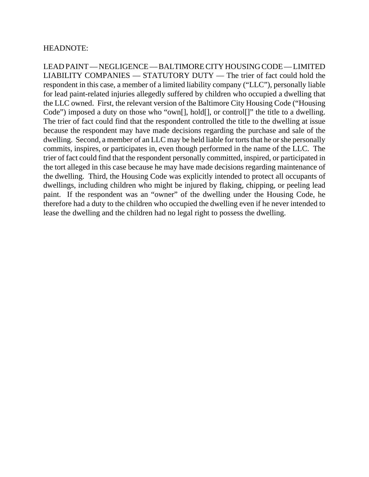# HEADNOTE:

LEAD PAINT — NEGLIGENCE — BALTIMORE CITY HOUSING CODE — LIMITED LIABILITY COMPANIES — STATUTORY DUTY — The trier of fact could hold the respondent in this case, a member of a limited liability company ("LLC"), personally liable for lead paint-related injuries allegedly suffered by children who occupied a dwelling that the LLC owned. First, the relevant version of the Baltimore City Housing Code ("Housing Code") imposed a duty on those who "own[], hold[], or control[]" the title to a dwelling. The trier of fact could find that the respondent controlled the title to the dwelling at issue because the respondent may have made decisions regarding the purchase and sale of the dwelling. Second, a member of an LLC may be held liable for torts that he or she personally commits, inspires, or participates in, even though performed in the name of the LLC. The trier of fact could find that the respondent personally committed, inspired, or participated in the tort alleged in this case because he may have made decisions regarding maintenance of the dwelling. Third, the Housing Code was explicitly intended to protect all occupants of dwellings, including children who might be injured by flaking, chipping, or peeling lead paint. If the respondent was an "owner" of the dwelling under the Housing Code, he therefore had a duty to the children who occupied the dwelling even if he never intended to lease the dwelling and the children had no legal right to possess the dwelling.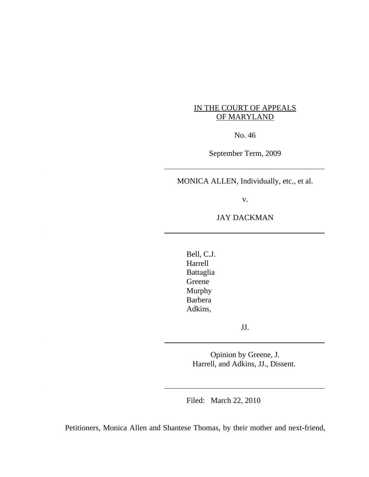# IN THE COURT OF APPEALS OF MARYLAND

No. 46

September Term, 2009

MONICA ALLEN, Individually, etc., et al.

v.

# JAY DACKMAN

Bell, C.J. Harrell Battaglia Greene Murphy Barbera Adkins,

JJ.

Opinion by Greene, J. Harrell, and Adkins, JJ., Dissent.

Filed: March 22, 2010

Petitioners, Monica Allen and Shantese Thomas, by their mother and next-friend,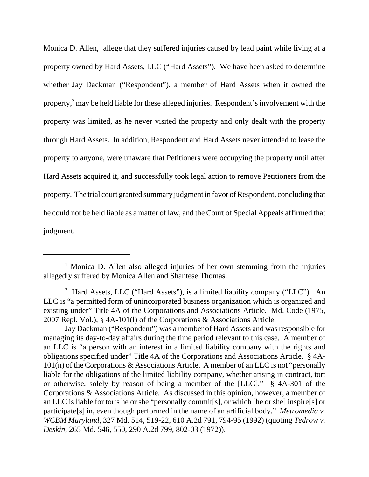Monica D. Allen,<sup>1</sup> allege that they suffered injuries caused by lead paint while living at a property owned by Hard Assets, LLC ("Hard Assets"). We have been asked to determine whether Jay Dackman ("Respondent"), a member of Hard Assets when it owned the property,<sup>2</sup> may be held liable for these alleged injuries. Respondent's involvement with the property was limited, as he never visited the property and only dealt with the property through Hard Assets. In addition, Respondent and Hard Assets never intended to lease the property to anyone, were unaware that Petitioners were occupying the property until after Hard Assets acquired it, and successfully took legal action to remove Petitioners from the property. The trial court granted summary judgment in favor of Respondent, concluding that he could not be held liable as a matter of law, and the Court of Special Appeals affirmed that judgment.

<sup>&</sup>lt;sup>1</sup> Monica D. Allen also alleged injuries of her own stemming from the injuries allegedly suffered by Monica Allen and Shantese Thomas.

<sup>&</sup>lt;sup>2</sup> Hard Assets, LLC ("Hard Assets"), is a limited liability company ("LLC"). An LLC is "a permitted form of unincorporated business organization which is organized and existing under" Title 4A of the Corporations and Associations Article. Md. Code (1975, 2007 Repl. Vol.), § 4A-101(l) of the Corporations & Associations Article.

Jay Dackman ("Respondent") was a member of Hard Assets and was responsible for managing its day-to-day affairs during the time period relevant to this case. A member of an LLC is "a person with an interest in a limited liability company with the rights and obligations specified under" Title 4A of the Corporations and Associations Article. § 4A-101(n) of the Corporations & Associations Article. A member of an LLC is not "personally liable for the obligations of the limited liability company, whether arising in contract, tort or otherwise, solely by reason of being a member of the [LLC]." § 4A-301 of the Corporations & Associations Article. As discussed in this opinion, however, a member of an LLC is liable for torts he or she "personally commit[s], or which [he or she] inspire[s] or participate[s] in, even though performed in the name of an artificial body." *Metromedia v. WCBM Maryland*, 327 Md. 514, 519-22, 610 A.2d 791, 794-95 (1992) (quoting *Tedrow v. Deskin*, 265 Md. 546, 550, 290 A.2d 799, 802-03 (1972)).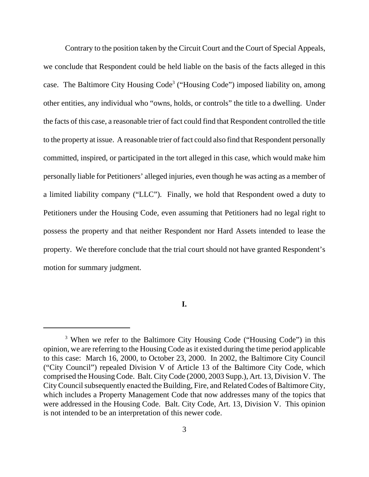Contrary to the position taken by the Circuit Court and the Court of Special Appeals, we conclude that Respondent could be held liable on the basis of the facts alleged in this case. The Baltimore City Housing Code<sup>3</sup> ("Housing Code") imposed liability on, among other entities, any individual who "owns, holds, or controls" the title to a dwelling. Under the facts of this case, a reasonable trier of fact could find that Respondent controlled the title to the property at issue. A reasonable trier of fact could also find that Respondent personally committed, inspired, or participated in the tort alleged in this case, which would make him personally liable for Petitioners' alleged injuries, even though he was acting as a member of a limited liability company ("LLC"). Finally, we hold that Respondent owed a duty to Petitioners under the Housing Code, even assuming that Petitioners had no legal right to possess the property and that neither Respondent nor Hard Assets intended to lease the property. We therefore conclude that the trial court should not have granted Respondent's motion for summary judgment.

**I.**

<sup>&</sup>lt;sup>3</sup> When we refer to the Baltimore City Housing Code ("Housing Code") in this opinion, we are referring to the Housing Code as it existed during the time period applicable to this case: March 16, 2000, to October 23, 2000. In 2002, the Baltimore City Council ("City Council") repealed Division V of Article 13 of the Baltimore City Code, which comprised the Housing Code. Balt. City Code (2000, 2003 Supp.), Art. 13, Division V. The City Council subsequently enacted the Building, Fire, and Related Codes of Baltimore City, which includes a Property Management Code that now addresses many of the topics that were addressed in the Housing Code. Balt. City Code, Art. 13, Division V. This opinion is not intended to be an interpretation of this newer code.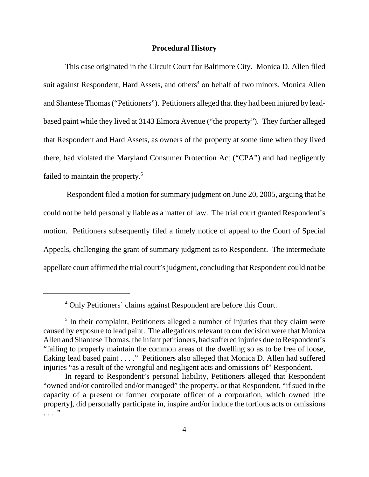### **Procedural History**

This case originated in the Circuit Court for Baltimore City. Monica D. Allen filed suit against Respondent, Hard Assets, and others<sup>4</sup> on behalf of two minors, Monica Allen and Shantese Thomas ("Petitioners"). Petitioners alleged that they had been injured by leadbased paint while they lived at 3143 Elmora Avenue ("the property"). They further alleged that Respondent and Hard Assets, as owners of the property at some time when they lived there, had violated the Maryland Consumer Protection Act ("CPA") and had negligently failed to maintain the property.<sup>5</sup>

 Respondent filed a motion for summary judgment on June 20, 2005, arguing that he could not be held personally liable as a matter of law. The trial court granted Respondent's motion. Petitioners subsequently filed a timely notice of appeal to the Court of Special Appeals, challenging the grant of summary judgment as to Respondent. The intermediate appellate court affirmed the trial court's judgment, concluding that Respondent could not be

<sup>&</sup>lt;sup>4</sup> Only Petitioners' claims against Respondent are before this Court.

<sup>&</sup>lt;sup>5</sup> In their complaint, Petitioners alleged a number of injuries that they claim were caused by exposure to lead paint. The allegations relevant to our decision were that Monica Allen and Shantese Thomas, the infant petitioners, had suffered injuries due to Respondent's "failing to properly maintain the common areas of the dwelling so as to be free of loose, flaking lead based paint . . . ." Petitioners also alleged that Monica D. Allen had suffered injuries "as a result of the wrongful and negligent acts and omissions of" Respondent.

In regard to Respondent's personal liability, Petitioners alleged that Respondent "owned and/or controlled and/or managed" the property, or that Respondent, "if sued in the capacity of a present or former corporate officer of a corporation, which owned [the property], did personally participate in, inspire and/or induce the tortious acts or omissions . . . ."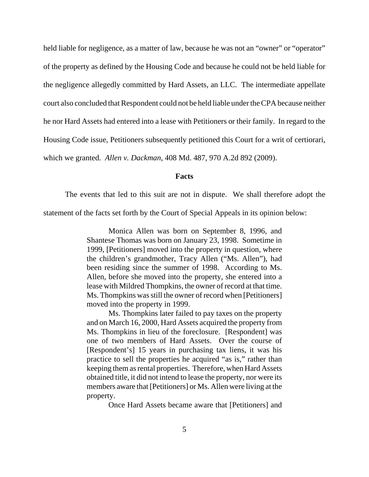held liable for negligence, as a matter of law, because he was not an "owner" or "operator" of the property as defined by the Housing Code and because he could not be held liable for the negligence allegedly committed by Hard Assets, an LLC. The intermediate appellate court also concluded that Respondent could not be held liable under the CPA because neither he nor Hard Assets had entered into a lease with Petitioners or their family. In regard to the Housing Code issue, Petitioners subsequently petitioned this Court for a writ of certiorari, which we granted. *Allen v. Dackman*, 408 Md. 487, 970 A.2d 892 (2009).

#### **Facts**

The events that led to this suit are not in dispute. We shall therefore adopt the

statement of the facts set forth by the Court of Special Appeals in its opinion below:

Monica Allen was born on September 8, 1996, and Shantese Thomas was born on January 23, 1998. Sometime in 1999, [Petitioners] moved into the property in question, where the children's grandmother, Tracy Allen ("Ms. Allen"), had been residing since the summer of 1998. According to Ms. Allen, before she moved into the property, she entered into a lease with Mildred Thompkins, the owner of record at that time. Ms. Thompkins was still the owner of record when [Petitioners] moved into the property in 1999.

Ms. Thompkins later failed to pay taxes on the property and on March 16, 2000, Hard Assets acquired the property from Ms. Thompkins in lieu of the foreclosure. [Respondent] was one of two members of Hard Assets. Over the course of [Respondent's] 15 years in purchasing tax liens, it was his practice to sell the properties he acquired "as is," rather than keeping them as rental properties. Therefore, when Hard Assets obtained title, it did not intend to lease the property, nor were its members aware that [Petitioners] or Ms. Allen were living at the property.

Once Hard Assets became aware that [Petitioners] and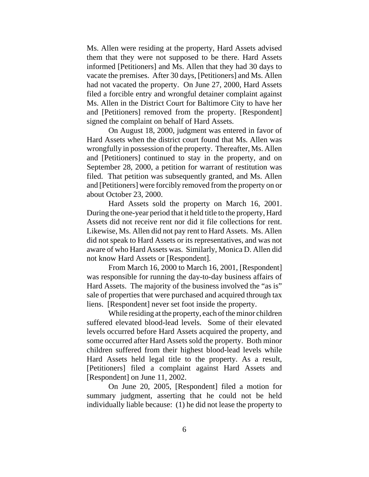Ms. Allen were residing at the property, Hard Assets advised them that they were not supposed to be there. Hard Assets informed [Petitioners] and Ms. Allen that they had 30 days to vacate the premises. After 30 days, [Petitioners] and Ms. Allen had not vacated the property. On June 27, 2000, Hard Assets filed a forcible entry and wrongful detainer complaint against Ms. Allen in the District Court for Baltimore City to have her and [Petitioners] removed from the property. [Respondent] signed the complaint on behalf of Hard Assets.

On August 18, 2000, judgment was entered in favor of Hard Assets when the district court found that Ms. Allen was wrongfully in possession of the property. Thereafter, Ms. Allen and [Petitioners] continued to stay in the property, and on September 28, 2000, a petition for warrant of restitution was filed. That petition was subsequently granted, and Ms. Allen and [Petitioners] were forcibly removed from the property on or about October 23, 2000.

Hard Assets sold the property on March 16, 2001. During the one-year period that it held title to the property, Hard Assets did not receive rent nor did it file collections for rent. Likewise, Ms. Allen did not pay rent to Hard Assets. Ms. Allen did not speak to Hard Assets or its representatives, and was not aware of who Hard Assets was. Similarly, Monica D. Allen did not know Hard Assets or [Respondent].

From March 16, 2000 to March 16, 2001, [Respondent] was responsible for running the day-to-day business affairs of Hard Assets. The majority of the business involved the "as is" sale of properties that were purchased and acquired through tax liens. [Respondent] never set foot inside the property.

While residing at the property, each of the minor children suffered elevated blood-lead levels. Some of their elevated levels occurred before Hard Assets acquired the property, and some occurred after Hard Assets sold the property. Both minor children suffered from their highest blood-lead levels while Hard Assets held legal title to the property. As a result, [Petitioners] filed a complaint against Hard Assets and [Respondent] on June 11, 2002.

On June 20, 2005, [Respondent] filed a motion for summary judgment, asserting that he could not be held individually liable because: (1) he did not lease the property to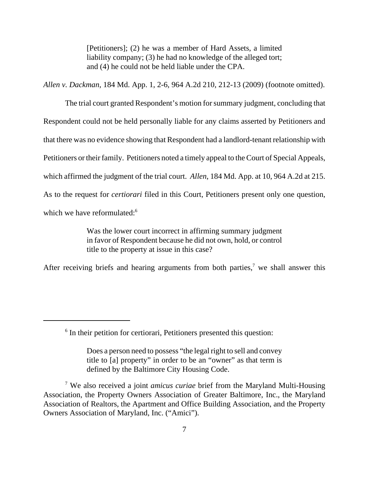[Petitioners]; (2) he was a member of Hard Assets, a limited liability company; (3) he had no knowledge of the alleged tort; and (4) he could not be held liable under the CPA.

*Allen v. Dackman*, 184 Md. App. 1, 2-6, 964 A.2d 210, 212-13 (2009) (footnote omitted).

The trial court granted Respondent's motion for summary judgment, concluding that Respondent could not be held personally liable for any claims asserted by Petitioners and that there was no evidence showing that Respondent had a landlord-tenant relationship with Petitioners or their family. Petitioners noted a timely appeal to the Court of Special Appeals, which affirmed the judgment of the trial court. *Allen*, 184 Md. App. at 10, 964 A.2d at 215. As to the request for *certiorari* filed in this Court, Petitioners present only one question, which we have reformulated:<sup>6</sup>

> Was the lower court incorrect in affirming summary judgment in favor of Respondent because he did not own, hold, or control title to the property at issue in this case?

After receiving briefs and hearing arguments from both parties,<sup>7</sup> we shall answer this

<sup>&</sup>lt;sup>6</sup> In their petition for certiorari, Petitioners presented this question:

Does a person need to possess "the legal right to sell and convey title to [a] property" in order to be an "owner" as that term is defined by the Baltimore City Housing Code.

<sup>7</sup> We also received a joint *amicus curiae* brief from the Maryland Multi-Housing Association, the Property Owners Association of Greater Baltimore, Inc., the Maryland Association of Realtors, the Apartment and Office Building Association, and the Property Owners Association of Maryland, Inc. ("Amici").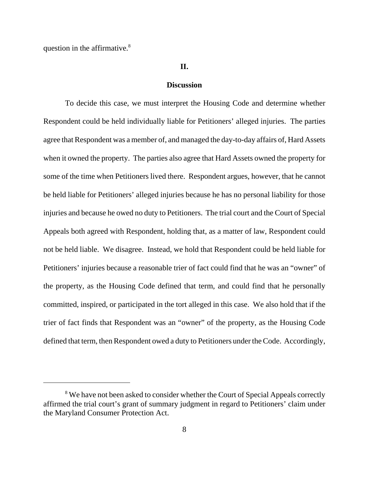question in the affirmative.<sup>8</sup>

#### **II.**

### **Discussion**

To decide this case, we must interpret the Housing Code and determine whether Respondent could be held individually liable for Petitioners' alleged injuries. The parties agree that Respondent was a member of, and managed the day-to-day affairs of, Hard Assets when it owned the property. The parties also agree that Hard Assets owned the property for some of the time when Petitioners lived there. Respondent argues, however, that he cannot be held liable for Petitioners' alleged injuries because he has no personal liability for those injuries and because he owed no duty to Petitioners. The trial court and the Court of Special Appeals both agreed with Respondent, holding that, as a matter of law, Respondent could not be held liable. We disagree. Instead, we hold that Respondent could be held liable for Petitioners' injuries because a reasonable trier of fact could find that he was an "owner" of the property, as the Housing Code defined that term, and could find that he personally committed, inspired, or participated in the tort alleged in this case. We also hold that if the trier of fact finds that Respondent was an "owner" of the property, as the Housing Code defined that term, then Respondent owed a duty to Petitioners under the Code. Accordingly,

<sup>&</sup>lt;sup>8</sup> We have not been asked to consider whether the Court of Special Appeals correctly affirmed the trial court's grant of summary judgment in regard to Petitioners' claim under the Maryland Consumer Protection Act.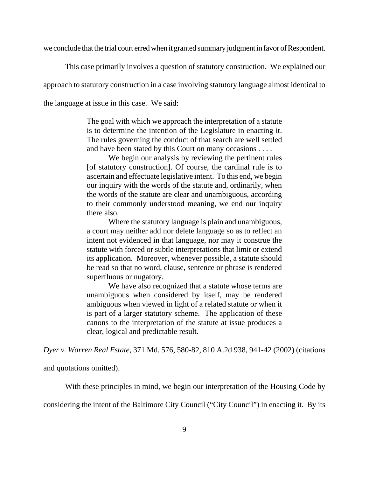we conclude that the trial court erred when it granted summary judgment in favor of Respondent.

This case primarily involves a question of statutory construction. We explained our

approach to statutory construction in a case involving statutory language almost identical to

the language at issue in this case. We said:

The goal with which we approach the interpretation of a statute is to determine the intention of the Legislature in enacting it. The rules governing the conduct of that search are well settled and have been stated by this Court on many occasions . . . .

We begin our analysis by reviewing the pertinent rules [of statutory construction]. Of course, the cardinal rule is to ascertain and effectuate legislative intent. To this end, we begin our inquiry with the words of the statute and, ordinarily, when the words of the statute are clear and unambiguous, according to their commonly understood meaning, we end our inquiry there also.

Where the statutory language is plain and unambiguous, a court may neither add nor delete language so as to reflect an intent not evidenced in that language, nor may it construe the statute with forced or subtle interpretations that limit or extend its application. Moreover, whenever possible, a statute should be read so that no word, clause, sentence or phrase is rendered superfluous or nugatory.

We have also recognized that a statute whose terms are unambiguous when considered by itself, may be rendered ambiguous when viewed in light of a related statute or when it is part of a larger statutory scheme. The application of these canons to the interpretation of the statute at issue produces a clear, logical and predictable result.

*Dyer v. Warren Real Estate*, 371 Md. 576, 580-82, 810 A.2d 938, 941-42 (2002) (citations

and quotations omitted).

With these principles in mind, we begin our interpretation of the Housing Code by

considering the intent of the Baltimore City Council ("City Council") in enacting it. By its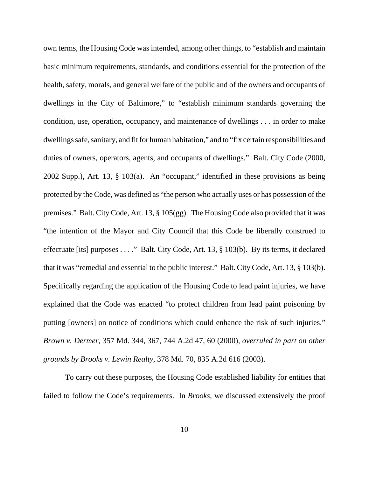own terms, the Housing Code was intended, among other things, to "establish and maintain basic minimum requirements, standards, and conditions essential for the protection of the health, safety, morals, and general welfare of the public and of the owners and occupants of dwellings in the City of Baltimore," to "establish minimum standards governing the condition, use, operation, occupancy, and maintenance of dwellings . . . in order to make dwellings safe, sanitary, and fit for human habitation," and to "fix certain responsibilities and duties of owners, operators, agents, and occupants of dwellings." Balt. City Code (2000, 2002 Supp.), Art. 13, § 103(a). An "occupant," identified in these provisions as being protected by the Code, was defined as "the person who actually uses or has possession of the premises." Balt. City Code, Art. 13, § 105(gg). The Housing Code also provided that it was "the intention of the Mayor and City Council that this Code be liberally construed to effectuate [its] purposes . . . ." Balt. City Code, Art. 13, § 103(b). By its terms, it declared that it was "remedial and essential to the public interest." Balt. City Code, Art. 13, § 103(b). Specifically regarding the application of the Housing Code to lead paint injuries, we have explained that the Code was enacted "to protect children from lead paint poisoning by putting [owners] on notice of conditions which could enhance the risk of such injuries." *Brown v. Dermer*, 357 Md. 344, 367, 744 A.2d 47, 60 (2000), *overruled in part on other grounds by Brooks v. Lewin Realty*, 378 Md. 70, 835 A.2d 616 (2003).

To carry out these purposes, the Housing Code established liability for entities that failed to follow the Code's requirements. In *Brooks*, we discussed extensively the proof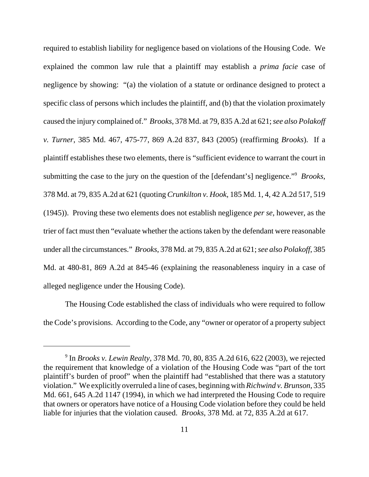required to establish liability for negligence based on violations of the Housing Code. We explained the common law rule that a plaintiff may establish a *prima facie* case of negligence by showing: "(a) the violation of a statute or ordinance designed to protect a specific class of persons which includes the plaintiff, and (b) that the violation proximately caused the injury complained of." *Brooks*, 378 Md. at 79, 835 A.2d at 621; *see also Polakoff v. Turner*, 385 Md. 467, 475-77, 869 A.2d 837, 843 (2005) (reaffirming *Brooks*). If a plaintiff establishes these two elements, there is "sufficient evidence to warrant the court in submitting the case to the jury on the question of the [defendant's] negligence."<sup>9</sup> Brooks, 378 Md. at 79, 835 A.2d at 621 (quoting *Crunkilton v. Hook*, 185 Md. 1, 4, 42 A.2d 517, 519 (1945)). Proving these two elements does not establish negligence *per se*, however, as the trier of fact must then "evaluate whether the actions taken by the defendant were reasonable under all the circumstances." *Brooks*, 378 Md. at 79, 835 A.2d at 621; *see also Polakoff*, 385 Md. at 480-81, 869 A.2d at 845-46 (explaining the reasonableness inquiry in a case of alleged negligence under the Housing Code).

The Housing Code established the class of individuals who were required to follow the Code's provisions. According to the Code, any "owner or operator of a property subject

<sup>9</sup> In *Brooks v. Lewin Realty*, 378 Md. 70, 80, 835 A.2d 616, 622 (2003), we rejected the requirement that knowledge of a violation of the Housing Code was "part of the tort plaintiff's burden of proof" when the plaintiff had "established that there was a statutory violation." We explicitly overruled a line of cases, beginning with *Richwind v. Brunson*, 335 Md. 661, 645 A.2d 1147 (1994), in which we had interpreted the Housing Code to require that owners or operators have notice of a Housing Code violation before they could be held liable for injuries that the violation caused. *Brooks*, 378 Md. at 72, 835 A.2d at 617.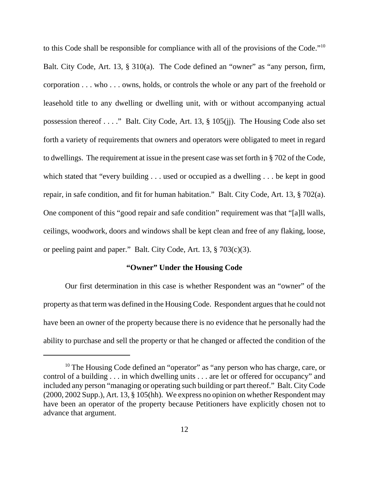to this Code shall be responsible for compliance with all of the provisions of the Code."10 Balt. City Code, Art. 13, § 310(a). The Code defined an "owner" as "any person, firm, corporation . . . who . . . owns, holds, or controls the whole or any part of the freehold or leasehold title to any dwelling or dwelling unit, with or without accompanying actual possession thereof . . . ." Balt. City Code, Art. 13, § 105(jj). The Housing Code also set forth a variety of requirements that owners and operators were obligated to meet in regard to dwellings. The requirement at issue in the present case was set forth in § 702 of the Code, which stated that "every building . . . used or occupied as a dwelling . . . be kept in good repair, in safe condition, and fit for human habitation." Balt. City Code, Art. 13, § 702(a). One component of this "good repair and safe condition" requirement was that "[a]ll walls, ceilings, woodwork, doors and windows shall be kept clean and free of any flaking, loose, or peeling paint and paper." Balt. City Code, Art. 13, § 703(c)(3).

# **"Owner" Under the Housing Code**

Our first determination in this case is whether Respondent was an "owner" of the property as that term was defined in the Housing Code. Respondent argues that he could not have been an owner of the property because there is no evidence that he personally had the ability to purchase and sell the property or that he changed or affected the condition of the

<sup>&</sup>lt;sup>10</sup> The Housing Code defined an "operator" as "any person who has charge, care, or control of a building . . . in which dwelling units . . . are let or offered for occupancy" and included any person "managing or operating such building or part thereof." Balt. City Code (2000, 2002 Supp.), Art. 13, § 105(hh). We express no opinion on whether Respondent may have been an operator of the property because Petitioners have explicitly chosen not to advance that argument.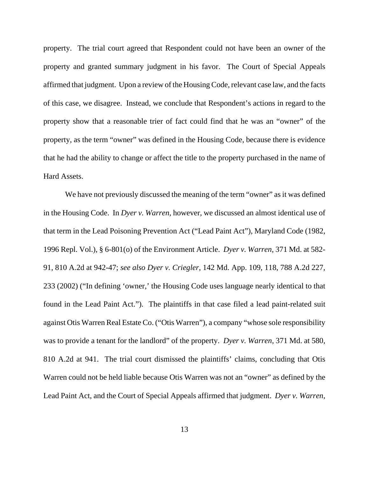property. The trial court agreed that Respondent could not have been an owner of the property and granted summary judgment in his favor. The Court of Special Appeals affirmed that judgment. Upon a review of the Housing Code, relevant case law, and the facts of this case, we disagree. Instead, we conclude that Respondent's actions in regard to the property show that a reasonable trier of fact could find that he was an "owner" of the property, as the term "owner" was defined in the Housing Code, because there is evidence that he had the ability to change or affect the title to the property purchased in the name of Hard Assets.

We have not previously discussed the meaning of the term "owner" as it was defined in the Housing Code. In *Dyer v. Warren*, however, we discussed an almost identical use of that term in the Lead Poisoning Prevention Act ("Lead Paint Act"), Maryland Code (1982, 1996 Repl. Vol.), § 6-801(o) of the Environment Article. *Dyer v. Warren*, 371 Md. at 582- 91, 810 A.2d at 942-47; *see also Dyer v. Criegler*, 142 Md. App. 109, 118, 788 A.2d 227, 233 (2002) ("In defining 'owner,' the Housing Code uses language nearly identical to that found in the Lead Paint Act."). The plaintiffs in that case filed a lead paint-related suit against Otis Warren Real Estate Co. ("Otis Warren"), a company "whose sole responsibility was to provide a tenant for the landlord" of the property. *Dyer v. Warren*, 371 Md. at 580, 810 A.2d at 941. The trial court dismissed the plaintiffs' claims, concluding that Otis Warren could not be held liable because Otis Warren was not an "owner" as defined by the Lead Paint Act, and the Court of Special Appeals affirmed that judgment. *Dyer v. Warren*,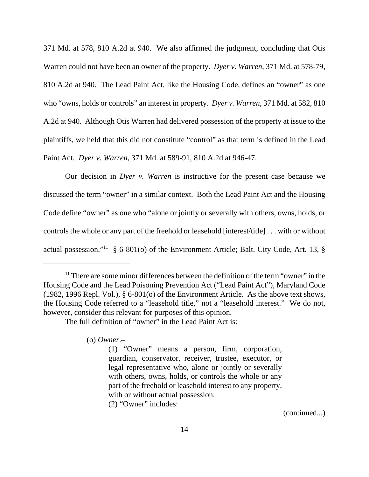371 Md. at 578, 810 A.2d at 940. We also affirmed the judgment, concluding that Otis Warren could not have been an owner of the property. *Dyer v. Warren*, 371 Md. at 578-79, 810 A.2d at 940. The Lead Paint Act, like the Housing Code, defines an "owner" as one who "owns, holds or controls" an interest in property. *Dyer v. Warren*, 371 Md. at 582, 810 A.2d at 940. Although Otis Warren had delivered possession of the property at issue to the plaintiffs, we held that this did not constitute "control" as that term is defined in the Lead Paint Act. *Dyer v. Warren*, 371 Md. at 589-91, 810 A.2d at 946-47.

Our decision in *Dyer v. Warren* is instructive for the present case because we discussed the term "owner" in a similar context. Both the Lead Paint Act and the Housing Code define "owner" as one who "alone or jointly or severally with others, owns, holds, or controls the whole or any part of the freehold or leasehold [interest/title] . . . with or without actual possession."<sup>11</sup> § 6-801(o) of the Environment Article; Balt. City Code, Art. 13, §

The full definition of "owner" in the Lead Paint Act is:

(o) *Owner*.–

(2) "Owner" includes:

(continued...)

 $11$ <sup>11</sup> There are some minor differences between the definition of the term "owner" in the Housing Code and the Lead Poisoning Prevention Act ("Lead Paint Act"), Maryland Code (1982, 1996 Repl. Vol.), § 6-801(o) of the Environment Article. As the above text shows, the Housing Code referred to a "leasehold title," not a "leasehold interest." We do not, however, consider this relevant for purposes of this opinion.

<sup>(1) &</sup>quot;Owner" means a person, firm, corporation, guardian, conservator, receiver, trustee, executor, or legal representative who, alone or jointly or severally with others, owns, holds, or controls the whole or any part of the freehold or leasehold interest to any property, with or without actual possession.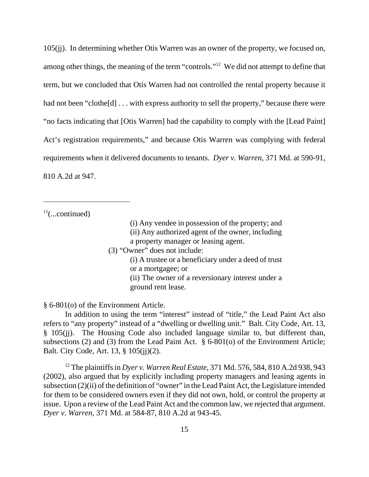105(jj). In determining whether Otis Warren was an owner of the property, we focused on, among other things, the meaning of the term "controls."12 We did not attempt to define that term, but we concluded that Otis Warren had not controlled the rental property because it had not been "clothe[d] . . . with express authority to sell the property," because there were "no facts indicating that [Otis Warren] had the capability to comply with the [Lead Paint] Act's registration requirements," and because Otis Warren was complying with federal requirements when it delivered documents to tenants. *Dyer v. Warren*, 371 Md. at 590-91, 810 A.2d at 947.

 $11$ (...continued)

- (i) Any vendee in possession of the property; and
- (ii) Any authorized agent of the owner, including
- a property manager or leasing agent.
- (3) "Owner" does not include:
	- (i) A trustee or a beneficiary under a deed of trust or a mortgagee; or (ii) The owner of a reversionary interest under a
	- ground rent lease.

§ 6-801(o) of the Environment Article.

In addition to using the term "interest" instead of "title," the Lead Paint Act also refers to "any property" instead of a "dwelling or dwelling unit." Balt. City Code, Art. 13, § 105(jj). The Housing Code also included language similar to, but different than, subsections (2) and (3) from the Lead Paint Act. § 6-801(o) of the Environment Article; Balt. City Code, Art. 13, § 105(jj)(2).

12 The plaintiffs in *Dyer v. Warren Real Estate*, 371 Md. 576, 584, 810 A.2d 938, 943 (2002), also argued that by explicitly including property managers and leasing agents in subsection (2)(ii) of the definition of "owner" in the Lead Paint Act, the Legislature intended for them to be considered owners even if they did not own, hold, or control the property at issue. Upon a review of the Lead Paint Act and the common law, we rejected that argument. *Dyer v. Warren*, 371 Md. at 584-87, 810 A.2d at 943-45.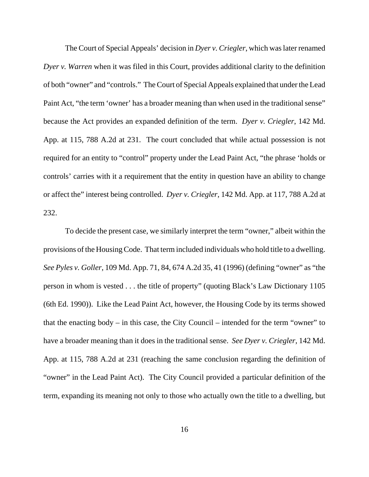The Court of Special Appeals' decision in *Dyer v. Criegler*, which was later renamed *Dyer v. Warren* when it was filed in this Court, provides additional clarity to the definition of both "owner" and "controls." The Court of Special Appeals explained that under the Lead Paint Act, "the term 'owner' has a broader meaning than when used in the traditional sense" because the Act provides an expanded definition of the term. *Dyer v. Criegler*, 142 Md. App. at 115, 788 A.2d at 231. The court concluded that while actual possession is not required for an entity to "control" property under the Lead Paint Act, "the phrase 'holds or controls' carries with it a requirement that the entity in question have an ability to change or affect the" interest being controlled. *Dyer v. Criegler*, 142 Md. App. at 117, 788 A.2d at 232.

To decide the present case, we similarly interpret the term "owner," albeit within the provisions of the Housing Code. That term included individuals who hold title to a dwelling. *See Pyles v. Goller*, 109 Md. App. 71, 84, 674 A.2d 35, 41 (1996) (defining "owner" as "the person in whom is vested . . . the title of property" (quoting Black's Law Dictionary 1105 (6th Ed. 1990)). Like the Lead Paint Act, however, the Housing Code by its terms showed that the enacting body – in this case, the City Council – intended for the term "owner" to have a broader meaning than it does in the traditional sense. *See Dyer v. Criegler*, 142 Md. App. at 115, 788 A.2d at 231 (reaching the same conclusion regarding the definition of "owner" in the Lead Paint Act). The City Council provided a particular definition of the term, expanding its meaning not only to those who actually own the title to a dwelling, but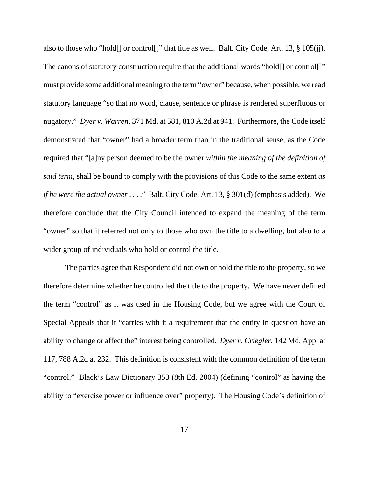also to those who "hold[] or control[]" that title as well. Balt. City Code, Art. 13, § 105(jj). The canons of statutory construction require that the additional words "hold[] or control[]" must provide some additional meaning to the term "owner" because, when possible, we read statutory language "so that no word, clause, sentence or phrase is rendered superfluous or nugatory." *Dyer v. Warren*, 371 Md. at 581, 810 A.2d at 941. Furthermore, the Code itself demonstrated that "owner" had a broader term than in the traditional sense, as the Code required that "[a]ny person deemed to be the owner *within the meaning of the definition of said term*, shall be bound to comply with the provisions of this Code to the same extent *as if he were the actual owner* . . . ." Balt. City Code, Art. 13, § 301(d) (emphasis added). We therefore conclude that the City Council intended to expand the meaning of the term "owner" so that it referred not only to those who own the title to a dwelling, but also to a wider group of individuals who hold or control the title.

The parties agree that Respondent did not own or hold the title to the property, so we therefore determine whether he controlled the title to the property. We have never defined the term "control" as it was used in the Housing Code, but we agree with the Court of Special Appeals that it "carries with it a requirement that the entity in question have an ability to change or affect the" interest being controlled. *Dyer v. Criegler*, 142 Md. App. at 117, 788 A.2d at 232. This definition is consistent with the common definition of the term "control." Black's Law Dictionary 353 (8th Ed. 2004) (defining "control" as having the ability to "exercise power or influence over" property). The Housing Code's definition of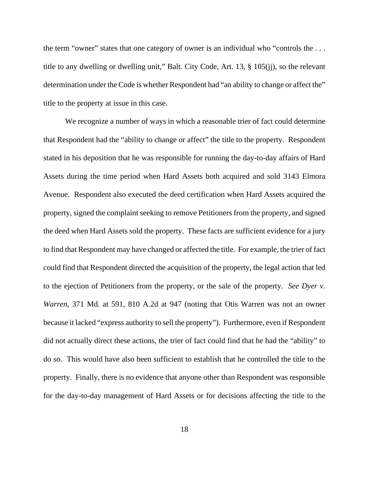the term "owner" states that one category of owner is an individual who "controls the . . . title to any dwelling or dwelling unit," Balt. City Code, Art. 13, § 105(jj), so the relevant determination under the Code is whether Respondent had "an ability to change or affect the" title to the property at issue in this case.

We recognize a number of ways in which a reasonable trier of fact could determine that Respondent had the "ability to change or affect" the title to the property. Respondent stated in his deposition that he was responsible for running the day-to-day affairs of Hard Assets during the time period when Hard Assets both acquired and sold 3143 Elmora Avenue. Respondent also executed the deed certification when Hard Assets acquired the property, signed the complaint seeking to remove Petitioners from the property, and signed the deed when Hard Assets sold the property. These facts are sufficient evidence for a jury to find that Respondent may have changed or affected the title. For example, the trier of fact could find that Respondent directed the acquisition of the property, the legal action that led to the ejection of Petitioners from the property, or the sale of the property. *See Dyer v. Warren*, 371 Md. at 591, 810 A.2d at 947 (noting that Otis Warren was not an owner because it lacked "express authority to sell the property"). Furthermore, even if Respondent did not actually direct these actions, the trier of fact could find that he had the "ability" to do so. This would have also been sufficient to establish that he controlled the title to the property. Finally, there is no evidence that anyone other than Respondent was responsible for the day-to-day management of Hard Assets or for decisions affecting the title to the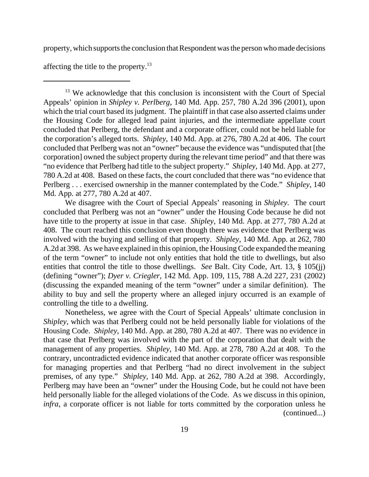property, which supports the conclusion that Respondent was the person who made decisions

affecting the title to the property.13

<sup>13</sup> We acknowledge that this conclusion is inconsistent with the Court of Special Appeals' opinion in *Shipley v. Perlberg*, 140 Md. App. 257, 780 A.2d 396 (2001), upon which the trial court based its judgment. The plaintiff in that case also asserted claims under the Housing Code for alleged lead paint injuries, and the intermediate appellate court concluded that Perlberg, the defendant and a corporate officer, could not be held liable for the corporation's alleged torts. *Shipley*, 140 Md. App. at 276, 780 A.2d at 406. The court concluded that Perlberg was not an "owner" because the evidence was "undisputed that [the corporation] owned the subject property during the relevant time period" and that there was "no evidence that Perlberg had title to the subject property." *Shipley*, 140 Md. App. at 277, 780 A.2d at 408. Based on these facts, the court concluded that there was "no evidence that Perlberg . . . exercised ownership in the manner contemplated by the Code." *Shipley*, 140 Md. App. at 277, 780 A.2d at 407.

We disagree with the Court of Special Appeals' reasoning in *Shipley*. The court concluded that Perlberg was not an "owner" under the Housing Code because he did not have title to the property at issue in that case. *Shipley*, 140 Md. App. at 277, 780 A.2d at 408. The court reached this conclusion even though there was evidence that Perlberg was involved with the buying and selling of that property. *Shipley*, 140 Md. App. at 262, 780 A.2d at 398. As we have explained in this opinion, the Housing Code expanded the meaning of the term "owner" to include not only entities that hold the title to dwellings, but also entities that control the title to those dwellings. *See* Balt. City Code, Art. 13, § 105(jj) (defining "owner"); *Dyer v. Criegler*, 142 Md. App. 109, 115, 788 A.2d 227, 231 (2002) (discussing the expanded meaning of the term "owner" under a similar definition). The ability to buy and sell the property where an alleged injury occurred is an example of controlling the title to a dwelling.

Nonetheless, we agree with the Court of Special Appeals' ultimate conclusion in *Shipley*, which was that Perlberg could not be held personally liable for violations of the Housing Code. *Shipley*, 140 Md. App. at 280, 780 A.2d at 407. There was no evidence in that case that Perlberg was involved with the part of the corporation that dealt with the management of any properties. *Shipley*, 140 Md. App. at 278, 780 A.2d at 408. To the contrary, uncontradicted evidence indicated that another corporate officer was responsible for managing properties and that Perlberg "had no direct involvement in the subject premises, of any type." *Shipley*, 140 Md. App. at 262, 780 A.2d at 398. Accordingly, Perlberg may have been an "owner" under the Housing Code, but he could not have been held personally liable for the alleged violations of the Code. As we discuss in this opinion, *infra*, a corporate officer is not liable for torts committed by the corporation unless he (continued...)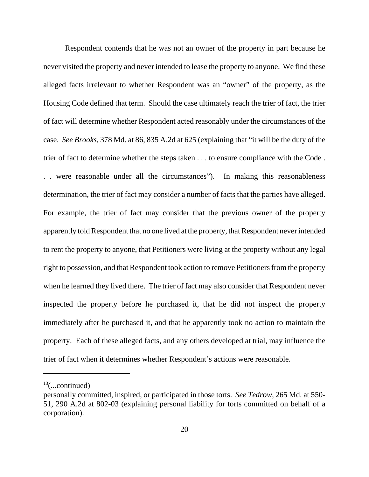Respondent contends that he was not an owner of the property in part because he never visited the property and never intended to lease the property to anyone. We find these alleged facts irrelevant to whether Respondent was an "owner" of the property, as the Housing Code defined that term. Should the case ultimately reach the trier of fact, the trier of fact will determine whether Respondent acted reasonably under the circumstances of the case. *See Brooks*, 378 Md. at 86, 835 A.2d at 625 (explaining that "it will be the duty of the trier of fact to determine whether the steps taken . . . to ensure compliance with the Code . . . were reasonable under all the circumstances"). In making this reasonableness determination, the trier of fact may consider a number of facts that the parties have alleged. For example, the trier of fact may consider that the previous owner of the property apparently told Respondent that no one lived at the property, that Respondent never intended to rent the property to anyone, that Petitioners were living at the property without any legal right to possession, and that Respondent took action to remove Petitioners from the property when he learned they lived there. The trier of fact may also consider that Respondent never inspected the property before he purchased it, that he did not inspect the property immediately after he purchased it, and that he apparently took no action to maintain the property. Each of these alleged facts, and any others developed at trial, may influence the trier of fact when it determines whether Respondent's actions were reasonable.

 $13$ (...continued)

personally committed, inspired, or participated in those torts. *See Tedrow*, 265 Md. at 550- 51, 290 A.2d at 802-03 (explaining personal liability for torts committed on behalf of a corporation).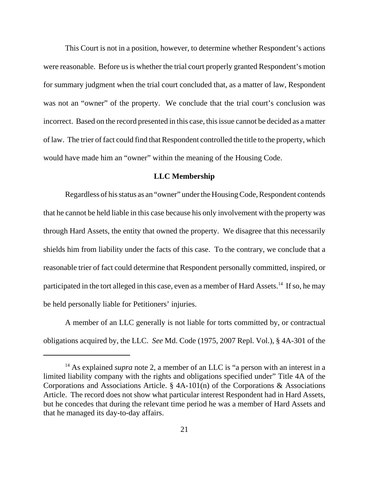This Court is not in a position, however, to determine whether Respondent's actions were reasonable. Before us is whether the trial court properly granted Respondent's motion for summary judgment when the trial court concluded that, as a matter of law, Respondent was not an "owner" of the property. We conclude that the trial court's conclusion was incorrect. Based on the record presented in this case, this issue cannot be decided as a matter of law. The trier of fact could find that Respondent controlled the title to the property, which would have made him an "owner" within the meaning of the Housing Code.

### **LLC Membership**

Regardless of his status as an "owner" under the Housing Code, Respondent contends that he cannot be held liable in this case because his only involvement with the property was through Hard Assets, the entity that owned the property. We disagree that this necessarily shields him from liability under the facts of this case. To the contrary, we conclude that a reasonable trier of fact could determine that Respondent personally committed, inspired, or participated in the tort alleged in this case, even as a member of Hard Assets.<sup>14</sup> If so, he may be held personally liable for Petitioners' injuries.

A member of an LLC generally is not liable for torts committed by, or contractual obligations acquired by, the LLC. *See* Md. Code (1975, 2007 Repl. Vol.), § 4A-301 of the

<sup>&</sup>lt;sup>14</sup> As explained *supra* note 2, a member of an LLC is "a person with an interest in a limited liability company with the rights and obligations specified under" Title 4A of the Corporations and Associations Article. § 4A-101(n) of the Corporations & Associations Article. The record does not show what particular interest Respondent had in Hard Assets, but he concedes that during the relevant time period he was a member of Hard Assets and that he managed its day-to-day affairs.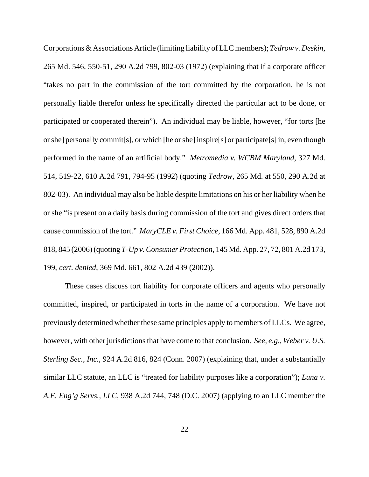Corporations & Associations Article (limiting liability of LLC members); *Tedrow v. Deskin*, 265 Md. 546, 550-51, 290 A.2d 799, 802-03 (1972) (explaining that if a corporate officer "takes no part in the commission of the tort committed by the corporation, he is not personally liable therefor unless he specifically directed the particular act to be done, or participated or cooperated therein"). An individual may be liable, however, "for torts [he or she] personally commit[s], or which [he or she] inspire[s] or participate[s] in, even though performed in the name of an artificial body." *Metromedia v. WCBM Maryland*, 327 Md. 514, 519-22, 610 A.2d 791, 794-95 (1992) (quoting *Tedrow*, 265 Md. at 550, 290 A.2d at 802-03). An individual may also be liable despite limitations on his or her liability when he or she "is present on a daily basis during commission of the tort and gives direct orders that cause commission of the tort." *MaryCLE v. First Choice*, 166 Md. App. 481, 528, 890 A.2d 818, 845 (2006) (quoting *T-Up v. Consumer Protection*, 145 Md. App. 27, 72, 801 A.2d 173, 199, *cert. denied*, 369 Md. 661, 802 A.2d 439 (2002)).

These cases discuss tort liability for corporate officers and agents who personally committed, inspired, or participated in torts in the name of a corporation. We have not previously determined whether these same principles apply to members of LLCs. We agree, however, with other jurisdictions that have come to that conclusion. *See, e.g.*, *Weber v. U.S. Sterling Sec., Inc.*, 924 A.2d 816, 824 (Conn. 2007) (explaining that, under a substantially similar LLC statute, an LLC is "treated for liability purposes like a corporation"); *Luna v. A.E. Eng'g Servs., LLC*, 938 A.2d 744, 748 (D.C. 2007) (applying to an LLC member the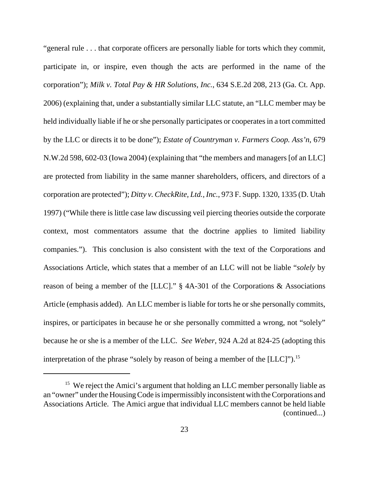"general rule . . . that corporate officers are personally liable for torts which they commit, participate in, or inspire, even though the acts are performed in the name of the corporation"); *Milk v. Total Pay & HR Solutions, Inc.*, 634 S.E.2d 208, 213 (Ga. Ct. App. 2006) (explaining that, under a substantially similar LLC statute, an "LLC member may be held individually liable if he or she personally participates or cooperates in a tort committed by the LLC or directs it to be done"); *Estate of Countryman v. Farmers Coop. Ass'n*, 679 N.W.2d 598, 602-03 (Iowa 2004) (explaining that "the members and managers [of an LLC] are protected from liability in the same manner shareholders, officers, and directors of a corporation are protected"); *Ditty v. CheckRite, Ltd., Inc.*, 973 F. Supp. 1320, 1335 (D. Utah 1997) ("While there is little case law discussing veil piercing theories outside the corporate context, most commentators assume that the doctrine applies to limited liability companies."). This conclusion is also consistent with the text of the Corporations and Associations Article, which states that a member of an LLC will not be liable "*solely* by reason of being a member of the [LLC]." § 4A-301 of the Corporations & Associations Article (emphasis added). An LLC member is liable for torts he or she personally commits, inspires, or participates in because he or she personally committed a wrong, not "solely" because he or she is a member of the LLC. *See Weber*, 924 A.2d at 824-25 (adopting this interpretation of the phrase "solely by reason of being a member of the [LLC]").15

<sup>&</sup>lt;sup>15</sup> We reject the Amici's argument that holding an LLC member personally liable as an "owner" under the Housing Code is impermissibly inconsistent with the Corporations and Associations Article. The Amici argue that individual LLC members cannot be held liable (continued...)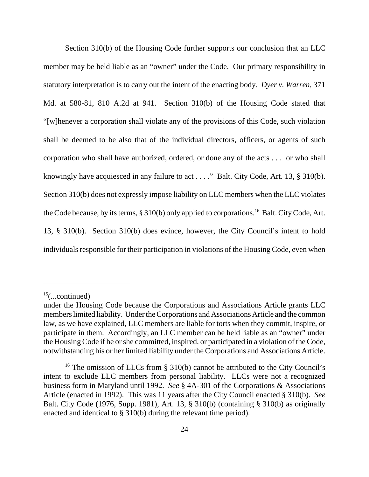Section 310(b) of the Housing Code further supports our conclusion that an LLC member may be held liable as an "owner" under the Code. Our primary responsibility in statutory interpretation is to carry out the intent of the enacting body. *Dyer v. Warren*, 371 Md. at 580-81, 810 A.2d at 941. Section 310(b) of the Housing Code stated that "[w]henever a corporation shall violate any of the provisions of this Code, such violation shall be deemed to be also that of the individual directors, officers, or agents of such corporation who shall have authorized, ordered, or done any of the acts . . . or who shall knowingly have acquiesced in any failure to act . . . ." Balt. City Code, Art. 13, § 310(b). Section 310(b) does not expressly impose liability on LLC members when the LLC violates the Code because, by its terms,  $\S 310(b)$  only applied to corporations.<sup>16</sup> Balt. City Code, Art. 13, § 310(b). Section 310(b) does evince, however, the City Council's intent to hold individuals responsible for their participation in violations of the Housing Code, even when

 $15$ (...continued)

under the Housing Code because the Corporations and Associations Article grants LLC members limited liability. Under the Corporations and Associations Article and the common law, as we have explained, LLC members are liable for torts when they commit, inspire, or participate in them. Accordingly, an LLC member can be held liable as an "owner" under the Housing Code if he or she committed, inspired, or participated in a violation of the Code, notwithstanding his or her limited liability under the Corporations and Associations Article.

<sup>&</sup>lt;sup>16</sup> The omission of LLCs from § 310(b) cannot be attributed to the City Council's intent to exclude LLC members from personal liability. LLCs were not a recognized business form in Maryland until 1992. *See* § 4A-301 of the Corporations & Associations Article (enacted in 1992). This was 11 years after the City Council enacted § 310(b). *See* Balt. City Code (1976, Supp. 1981), Art. 13, § 310(b) (containing § 310(b) as originally enacted and identical to § 310(b) during the relevant time period).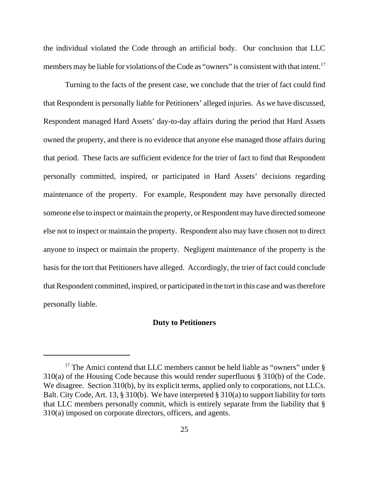the individual violated the Code through an artificial body. Our conclusion that LLC members may be liable for violations of the Code as "owners" is consistent with that intent.<sup>17</sup>

Turning to the facts of the present case, we conclude that the trier of fact could find that Respondent is personally liable for Petitioners' alleged injuries. As we have discussed, Respondent managed Hard Assets' day-to-day affairs during the period that Hard Assets owned the property, and there is no evidence that anyone else managed those affairs during that period. These facts are sufficient evidence for the trier of fact to find that Respondent personally committed, inspired, or participated in Hard Assets' decisions regarding maintenance of the property. For example, Respondent may have personally directed someone else to inspect or maintain the property, or Respondent may have directed someone else not to inspect or maintain the property. Respondent also may have chosen not to direct anyone to inspect or maintain the property. Negligent maintenance of the property is the basis for the tort that Petitioners have alleged. Accordingly, the trier of fact could conclude that Respondent committed, inspired, or participated in the tort in this case and was therefore personally liable.

### **Duty to Petitioners**

<sup>&</sup>lt;sup>17</sup> The Amici contend that LLC members cannot be held liable as "owners" under  $\S$ 310(a) of the Housing Code because this would render superfluous § 310(b) of the Code. We disagree. Section 310(b), by its explicit terms, applied only to corporations, not LLCs. Balt. City Code, Art. 13, § 310(b). We have interpreted § 310(a) to support liability for torts that LLC members personally commit, which is entirely separate from the liability that § 310(a) imposed on corporate directors, officers, and agents.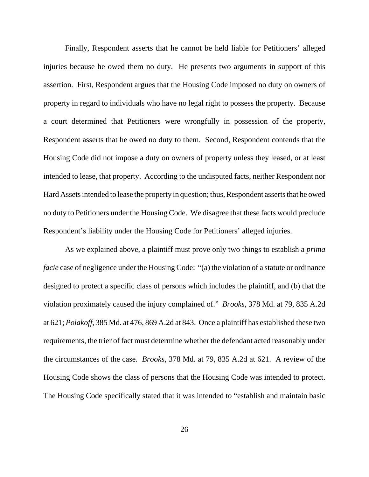Finally, Respondent asserts that he cannot be held liable for Petitioners' alleged injuries because he owed them no duty. He presents two arguments in support of this assertion. First, Respondent argues that the Housing Code imposed no duty on owners of property in regard to individuals who have no legal right to possess the property. Because a court determined that Petitioners were wrongfully in possession of the property, Respondent asserts that he owed no duty to them. Second, Respondent contends that the Housing Code did not impose a duty on owners of property unless they leased, or at least intended to lease, that property. According to the undisputed facts, neither Respondent nor Hard Assets intended to lease the property in question; thus, Respondent asserts that he owed no duty to Petitioners under the Housing Code. We disagree that these facts would preclude Respondent's liability under the Housing Code for Petitioners' alleged injuries.

As we explained above, a plaintiff must prove only two things to establish a *prima facie* case of negligence under the Housing Code: "(a) the violation of a statute or ordinance designed to protect a specific class of persons which includes the plaintiff, and (b) that the violation proximately caused the injury complained of." *Brooks*, 378 Md. at 79, 835 A.2d at 621; *Polakoff*, 385 Md. at 476, 869 A.2d at 843. Once a plaintiff has established these two requirements, the trier of fact must determine whether the defendant acted reasonably under the circumstances of the case. *Brooks*, 378 Md. at 79, 835 A.2d at 621. A review of the Housing Code shows the class of persons that the Housing Code was intended to protect. The Housing Code specifically stated that it was intended to "establish and maintain basic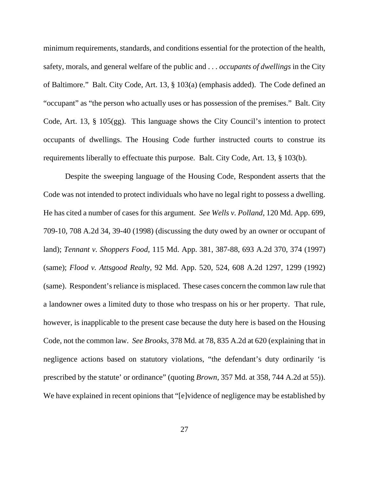minimum requirements, standards, and conditions essential for the protection of the health, safety, morals, and general welfare of the public and . . . *occupants of dwellings* in the City of Baltimore." Balt. City Code, Art. 13, § 103(a) (emphasis added). The Code defined an "occupant" as "the person who actually uses or has possession of the premises." Balt. City Code, Art. 13, § 105(gg). This language shows the City Council's intention to protect occupants of dwellings. The Housing Code further instructed courts to construe its requirements liberally to effectuate this purpose. Balt. City Code, Art. 13, § 103(b).

Despite the sweeping language of the Housing Code, Respondent asserts that the Code was not intended to protect individuals who have no legal right to possess a dwelling. He has cited a number of cases for this argument. *See Wells v. Polland*, 120 Md. App. 699, 709-10, 708 A.2d 34, 39-40 (1998) (discussing the duty owed by an owner or occupant of land); *Tennant v. Shoppers Food*, 115 Md. App. 381, 387-88, 693 A.2d 370, 374 (1997) (same); *Flood v. Attsgood Realty*, 92 Md. App. 520, 524, 608 A.2d 1297, 1299 (1992) (same). Respondent's reliance is misplaced. These cases concern the common law rule that a landowner owes a limited duty to those who trespass on his or her property. That rule, however, is inapplicable to the present case because the duty here is based on the Housing Code, not the common law. *See Brooks*, 378 Md. at 78, 835 A.2d at 620 (explaining that in negligence actions based on statutory violations, "the defendant's duty ordinarily 'is prescribed by the statute' or ordinance" (quoting *Brown*, 357 Md. at 358, 744 A.2d at 55)). We have explained in recent opinions that "[e]vidence of negligence may be established by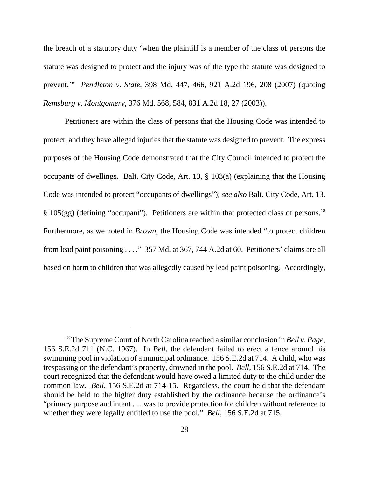the breach of a statutory duty 'when the plaintiff is a member of the class of persons the statute was designed to protect and the injury was of the type the statute was designed to prevent.'" *Pendleton v. State*, 398 Md. 447, 466, 921 A.2d 196, 208 (2007) (quoting *Remsburg v. Montgomery*, 376 Md. 568, 584, 831 A.2d 18, 27 (2003)).

Petitioners are within the class of persons that the Housing Code was intended to protect, and they have alleged injuries that the statute was designed to prevent. The express purposes of the Housing Code demonstrated that the City Council intended to protect the occupants of dwellings. Balt. City Code, Art. 13, § 103(a) (explaining that the Housing Code was intended to protect "occupants of dwellings"); *see also* Balt. City Code, Art. 13, § 105(gg) (defining "occupant"). Petitioners are within that protected class of persons.<sup>18</sup> Furthermore, as we noted in *Brown*, the Housing Code was intended "to protect children from lead paint poisoning . . . ." 357 Md. at 367, 744 A.2d at 60. Petitioners' claims are all based on harm to children that was allegedly caused by lead paint poisoning. Accordingly,

<sup>18</sup> The Supreme Court of North Carolina reached a similar conclusion in *Bell v. Page*, 156 S.E.2d 711 (N.C. 1967). In *Bell*, the defendant failed to erect a fence around his swimming pool in violation of a municipal ordinance. 156 S.E.2d at 714. A child, who was trespassing on the defendant's property, drowned in the pool. *Bell*, 156 S.E.2d at 714. The court recognized that the defendant would have owed a limited duty to the child under the common law. *Bell*, 156 S.E.2d at 714-15. Regardless, the court held that the defendant should be held to the higher duty established by the ordinance because the ordinance's "primary purpose and intent . . . was to provide protection for children without reference to whether they were legally entitled to use the pool." *Bell*, 156 S.E.2d at 715.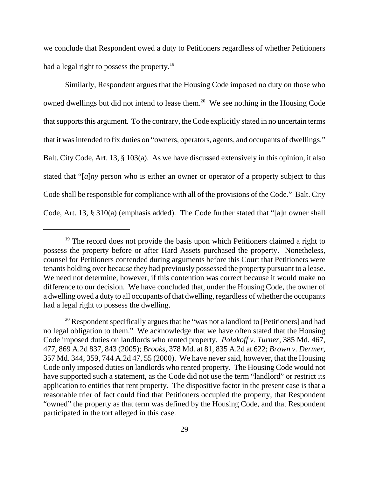we conclude that Respondent owed a duty to Petitioners regardless of whether Petitioners had a legal right to possess the property.<sup>19</sup>

Similarly, Respondent argues that the Housing Code imposed no duty on those who owned dwellings but did not intend to lease them.<sup>20</sup> We see nothing in the Housing Code that supports this argument. To the contrary, the Code explicitly stated in no uncertain terms that it was intended to fix duties on "owners, operators, agents, and occupants of dwellings." Balt. City Code, Art. 13, § 103(a). As we have discussed extensively in this opinion, it also stated that "[*a*]*ny* person who is either an owner or operator of a property subject to this Code shall be responsible for compliance with all of the provisions of the Code." Balt. City Code, Art. 13, § 310(a) (emphasis added). The Code further stated that "[a]n owner shall

<sup>&</sup>lt;sup>19</sup> The record does not provide the basis upon which Petitioners claimed a right to possess the property before or after Hard Assets purchased the property. Nonetheless, counsel for Petitioners contended during arguments before this Court that Petitioners were tenants holding over because they had previously possessed the property pursuant to a lease. We need not determine, however, if this contention was correct because it would make no difference to our decision. We have concluded that, under the Housing Code, the owner of a dwelling owed a duty to all occupants of that dwelling, regardless of whether the occupants had a legal right to possess the dwelling.

 $20$  Respondent specifically argues that he "was not a landlord to [Petitioners] and had no legal obligation to them." We acknowledge that we have often stated that the Housing Code imposed duties on landlords who rented property. *Polakoff v. Turner*, 385 Md. 467, 477, 869 A.2d 837, 843 (2005); *Brooks*, 378 Md. at 81, 835 A.2d at 622; *Brown v. Dermer*, 357 Md. 344, 359, 744 A.2d 47, 55 (2000). We have never said, however, that the Housing Code only imposed duties on landlords who rented property. The Housing Code would not have supported such a statement, as the Code did not use the term "landlord" or restrict its application to entities that rent property. The dispositive factor in the present case is that a reasonable trier of fact could find that Petitioners occupied the property, that Respondent "owned" the property as that term was defined by the Housing Code, and that Respondent participated in the tort alleged in this case.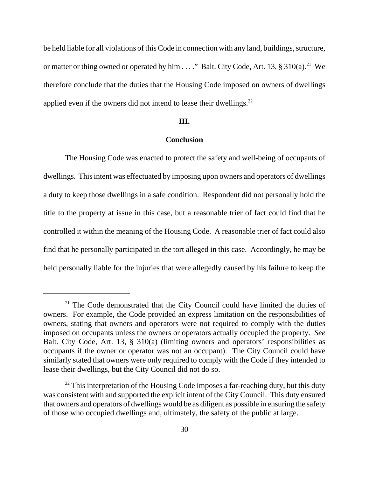be held liable for all violations of this Code in connection with any land, buildings, structure, or matter or thing owned or operated by him  $\dots$ ." Balt. City Code, Art. 13, § 310(a).<sup>21</sup> We therefore conclude that the duties that the Housing Code imposed on owners of dwellings applied even if the owners did not intend to lease their dwellings. $^{22}$ 

#### **III.**

## **Conclusion**

The Housing Code was enacted to protect the safety and well-being of occupants of dwellings. This intent was effectuated by imposing upon owners and operators of dwellings a duty to keep those dwellings in a safe condition. Respondent did not personally hold the title to the property at issue in this case, but a reasonable trier of fact could find that he controlled it within the meaning of the Housing Code. A reasonable trier of fact could also find that he personally participated in the tort alleged in this case. Accordingly, he may be held personally liable for the injuries that were allegedly caused by his failure to keep the

 $21$  The Code demonstrated that the City Council could have limited the duties of owners. For example, the Code provided an express limitation on the responsibilities of owners, stating that owners and operators were not required to comply with the duties imposed on occupants unless the owners or operators actually occupied the property. *See* Balt. City Code, Art. 13, § 310(a) (limiting owners and operators' responsibilities as occupants if the owner or operator was not an occupant). The City Council could have similarly stated that owners were only required to comply with the Code if they intended to lease their dwellings, but the City Council did not do so.

 $22$  This interpretation of the Housing Code imposes a far-reaching duty, but this duty was consistent with and supported the explicit intent of the City Council. This duty ensured that owners and operators of dwellings would be as diligent as possible in ensuring the safety of those who occupied dwellings and, ultimately, the safety of the public at large.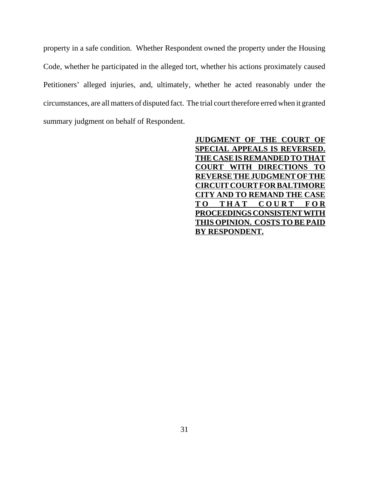property in a safe condition. Whether Respondent owned the property under the Housing Code, whether he participated in the alleged tort, whether his actions proximately caused Petitioners' alleged injuries, and, ultimately, whether he acted reasonably under the circumstances, are all matters of disputed fact. The trial court therefore erred when it granted summary judgment on behalf of Respondent.

> **JUDGMENT OF THE COURT OF SPECIAL APPEALS IS REVERSED. THE CASE IS REMANDED TO THAT COURT WITH DIRECTIONS TO REVERSE THE JUDGMENT OF THE CIRCUIT COURT FOR BALTIMORE CITY AND TO REMAND THE CASE TO THAT COURT FOR PROCEEDINGS CONSISTENT WITH THIS OPINION. COSTS TO BE PAID BY RESPONDENT.**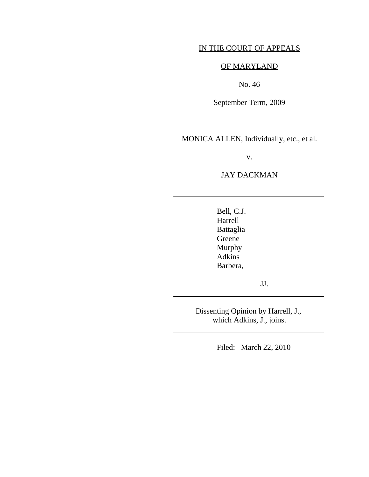# IN THE COURT OF APPEALS

# OF MARYLAND

No. 46

September Term, 2009

MONICA ALLEN, Individually, etc., et al.

 $\overline{a}$ 

l

 $\overline{\phantom{a}}$ 

 $\overline{a}$ 

v.

# JAY DACKMAN

 Bell, C.J. Harrell Battaglia Greene Murphy Adkins Barbera,

JJ.

Dissenting Opinion by Harrell, J., which Adkins, J., joins.

Filed: March 22, 2010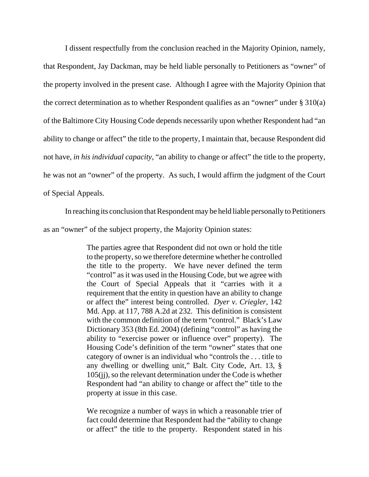I dissent respectfully from the conclusion reached in the Majority Opinion, namely, that Respondent, Jay Dackman, may be held liable personally to Petitioners as "owner" of the property involved in the present case. Although I agree with the Majority Opinion that the correct determination as to whether Respondent qualifies as an "owner" under  $\S 310(a)$ of the Baltimore City Housing Code depends necessarily upon whether Respondent had "an ability to change or affect" the title to the property, I maintain that, because Respondent did not have, *in his individual capacity*, "an ability to change or affect" the title to the property, he was not an "owner" of the property. As such, I would affirm the judgment of the Court of Special Appeals.

In reaching its conclusion that Respondent may be held liable personally to Petitioners

as an "owner" of the subject property, the Majority Opinion states:

The parties agree that Respondent did not own or hold the title to the property, so we therefore determine whether he controlled the title to the property. We have never defined the term "control" as it was used in the Housing Code, but we agree with the Court of Special Appeals that it "carries with it a requirement that the entity in question have an ability to change or affect the" interest being controlled. *Dyer v. Criegler*, 142 Md. App. at 117, 788 A.2d at 232. This definition is consistent with the common definition of the term "control." Black's Law Dictionary 353 (8th Ed. 2004) (defining "control" as having the ability to "exercise power or influence over" property). The Housing Code's definition of the term "owner" states that one category of owner is an individual who "controls the . . . title to any dwelling or dwelling unit," Balt. City Code, Art. 13, § 105(jj), so the relevant determination under the Code is whether Respondent had "an ability to change or affect the" title to the property at issue in this case.

We recognize a number of ways in which a reasonable trier of fact could determine that Respondent had the "ability to change or affect" the title to the property. Respondent stated in his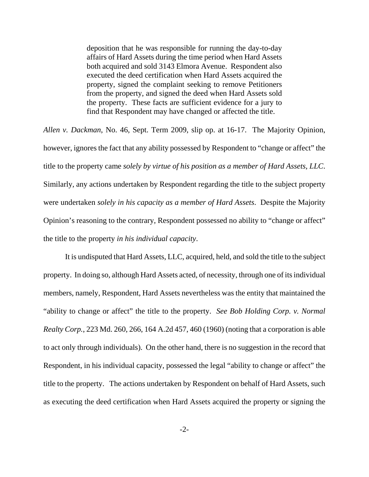deposition that he was responsible for running the day-to-day affairs of Hard Assets during the time period when Hard Assets both acquired and sold 3143 Elmora Avenue. Respondent also executed the deed certification when Hard Assets acquired the property, signed the complaint seeking to remove Petitioners from the property, and signed the deed when Hard Assets sold the property. These facts are sufficient evidence for a jury to find that Respondent may have changed or affected the title.

*Allen v. Dackman*, No. 46, Sept. Term 2009, slip op. at 16-17. The Majority Opinion, however, ignores the fact that any ability possessed by Respondent to "change or affect" the title to the property came *solely by virtue of his position as a member of Hard Assets, LLC*. Similarly, any actions undertaken by Respondent regarding the title to the subject property were undertaken *solely in his capacity as a member of Hard Assets*. Despite the Majority Opinion's reasoning to the contrary, Respondent possessed no ability to "change or affect" the title to the property *in his individual capacity*.

It is undisputed that Hard Assets, LLC, acquired, held, and sold the title to the subject property. In doing so, although Hard Assets acted, of necessity, through one of its individual members, namely, Respondent, Hard Assets nevertheless was the entity that maintained the "ability to change or affect" the title to the property. *See Bob Holding Corp. v. Normal Realty Corp.*, 223 Md. 260, 266, 164 A.2d 457, 460 (1960) (noting that a corporation is able to act only through individuals). On the other hand, there is no suggestion in the record that Respondent, in his individual capacity, possessed the legal "ability to change or affect" the title to the property. The actions undertaken by Respondent on behalf of Hard Assets, such as executing the deed certification when Hard Assets acquired the property or signing the